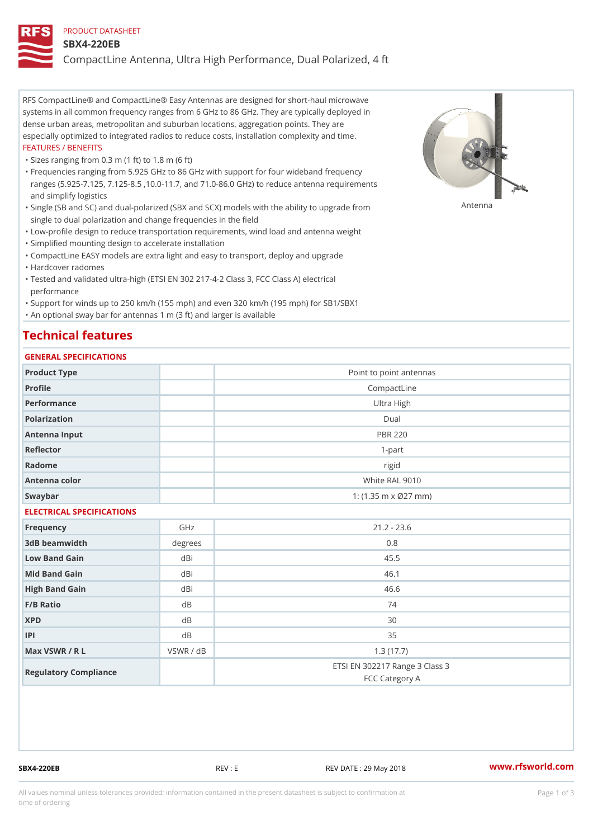#### PRODUCT DATASHEET

#### SBX4-220EB

CompactLine Antenna, Ultra High Performance, Dual Polarized, 4 ft

RFS CompactLine® and CompactLine® Easy Antennas are designed for short-haul microwave systems in all common frequency ranges from 6 GHz to 86 GHz. They are typically deployed in dense urban areas, metropolitan and suburban locations, aggregation points. They are especially optimized to integrated radios to reduce costs, installation complexity and time. FEATURES / BENEFITS

"Sizes ranging from 0.3 m (1 ft) to 1.8 m (6 ft)

Frequencies ranging from 5.925 GHz to 86 GHz with support for four wideband frequency " ranges (5.925-7.125, 7.125-8.5 ,10.0-11.7, and 71.0-86.0 GHz) to reduce antenna requirements and simplify logistics

"Single (SB and SC) and dual-polarized (SBX and SCX) models with the abili $\mathsf{f}_\mathsf{V}^{\eta}$ ttenup $\beta$ grade from single to dual polarization and change frequencies in the field

"Low-profile design to reduce transportation requirements, wind load and antenna weight

"Simplified mounting design to accelerate installation

 "CompactLine EASY models are extra light and easy to transport, deploy and upgrade "Hardcover radomes

Tested and validated ultra-high (ETSI EN 302 217-4-2 Class 3, FCC Class A) electrical " performance

 "Support for winds up to 250 km/h (155 mph) and even 320 km/h (195 mph) for SB1/SBX1 "An optional sway bar for antennas 1 m (3 ft) and larger is available

### Technical features

### GENERAL SPECIFICATIONS

| OLIVERAL OF LOTITOATIONS  |           |                                                  |  |  |  |
|---------------------------|-----------|--------------------------------------------------|--|--|--|
| Product Type              |           | Point to point antennas                          |  |  |  |
| Profile                   |           | CompactLine                                      |  |  |  |
| Performance               |           | Ultra High                                       |  |  |  |
| Polarization              |           | $D$ ual                                          |  |  |  |
| Antenna Input             |           | <b>PBR 220</b>                                   |  |  |  |
| Reflector                 |           | $1-part$                                         |  |  |  |
| Radome                    |           | rigid                                            |  |  |  |
| Antenna color             |           | White RAL 9010                                   |  |  |  |
| Swaybar                   |           | 1: $(1.35 \, m \times 027 \, mm)$                |  |  |  |
| ELECTRICAL SPECIFICATIONS |           |                                                  |  |  |  |
| Frequency                 | GHz       | $21.2 - 23.6$                                    |  |  |  |
| 3dB beamwidth             | degrees   | 0.8                                              |  |  |  |
| Low Band Gain             | dBi       | 45.5                                             |  |  |  |
| Mid Band Gain             | dBi       | 46.1                                             |  |  |  |
| High Band Gain            | dBi       | 46.6                                             |  |  |  |
| $F/B$ Ratio               | d B       | 74                                               |  |  |  |
| <b>XPD</b>                | $d$ B     | 30                                               |  |  |  |
| P                         | d B       | 35                                               |  |  |  |
| Max VSWR / R L            | VSWR / dB | 1.3(17.7)                                        |  |  |  |
| Regulatory Compliance     |           | ETSI EN 302217 Range 3 Class 3<br>FCC Category A |  |  |  |

SBX4-220EB REV : E REV DATE : 29 May 2018 [www.](https://www.rfsworld.com)rfsworld.com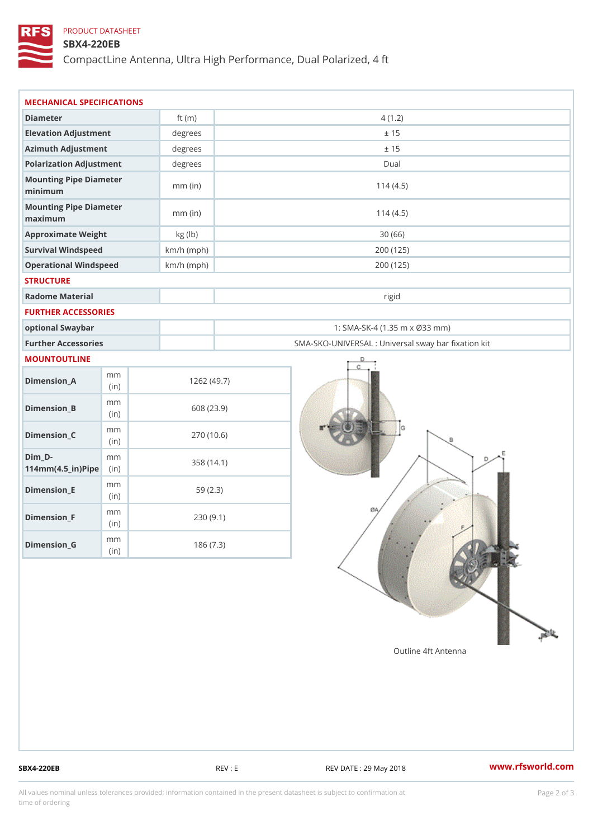## PRODUCT DATASHEET

## SBX4-220EB

CompactLine Antenna, Ultra High Performance, Dual Polarized, 4 ft

| MECHANICAL SPECIFICATIONS                           |              |              |                                                   |  |
|-----------------------------------------------------|--------------|--------------|---------------------------------------------------|--|
| Diameter                                            |              | ft $(m)$     | 4(1.2)                                            |  |
| Elevation Adjustment                                |              | degrees      | ± 15                                              |  |
| Azimuth Adjustment                                  |              | degrees      | ± 15                                              |  |
| Polarization Adjustment                             |              | $degree$ :   | Dual                                              |  |
| Mounting Pipe Diameter<br>minimum                   |              | $mm$ (in)    | 114(4.5)                                          |  |
| Mounting Pipe Diameter<br>maximum                   |              | $mm$ (in)    | 114(4.5)                                          |  |
| Approximate Weight                                  |              | kg (lb)      | 30(66)                                            |  |
| Survival Windspeed                                  |              | $km/h$ (mph) | 200 (125)                                         |  |
| Operational Windspeed                               |              | $km/h$ (mph) | 200 (125)                                         |  |
| <b>STRUCTURE</b>                                    |              |              |                                                   |  |
| Radome Material                                     |              |              | rigid                                             |  |
| FURTHER ACCESSORIES                                 |              |              |                                                   |  |
| optional Swaybar                                    |              |              | 1: SMA-SK-4 (1.35 m x Ø33 mm)                     |  |
| Further Accessories                                 |              |              | SMA-SKO-UNIVERSAL : Universal sway bar fixation l |  |
| MOUNTOUTLINE                                        |              |              |                                                   |  |
| $Dimension_A$                                       | m m<br>(in)  |              | 1262(49.7)                                        |  |
| $Dimension_B$                                       | m m<br>(in)  |              | 608 (23.9)                                        |  |
| $Dimen sion_C$                                      | m m<br>(i n) |              | 270 (10.6)                                        |  |
| $Dim_D -$<br>$114$ m m $(4.5$ _ ir $)$ $R$ ii p $e$ | m m          |              | 358 (14.1)                                        |  |
| $Dimension$ = E                                     | m m<br>(i n) |              | 59(2.3)                                           |  |
| $Dimension_F$                                       | m m<br>(in)  |              | 230(9.1)                                          |  |
| $D$ imension_G                                      | m m<br>(in)  |              | 186(7.3)                                          |  |

SBX4-220EB REV : E REV : REV DATE : 29 May 2018 WWW.rfsworld.com

All values nominal unless tolerances provided; information contained in the present datasheet is subject to Pcapgelio an atio time of ordering